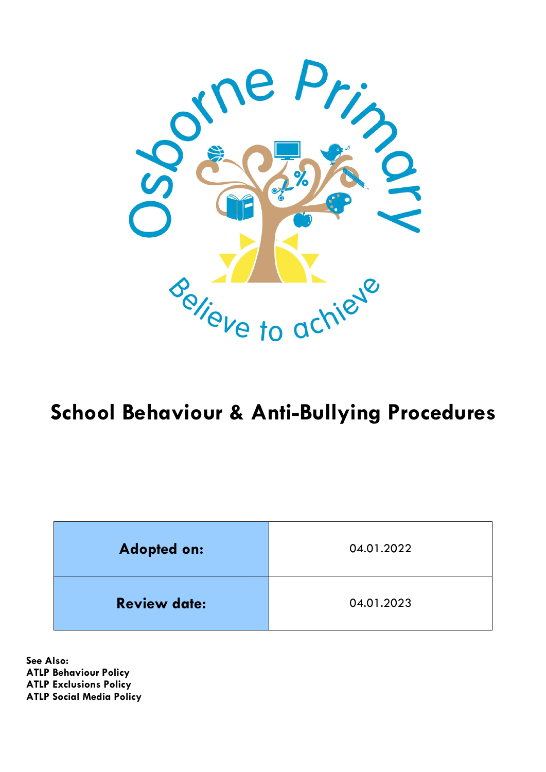

# **School Behaviour & Anti-Bullying Procedures**

| <b>Adopted on:</b>  | 04.01.2022 |  |
|---------------------|------------|--|
| <b>Review date:</b> | 04.01.2023 |  |

**See Also: ATLP Behaviour Policy ATLP Exclusions Policy ATLP Social Media Policy**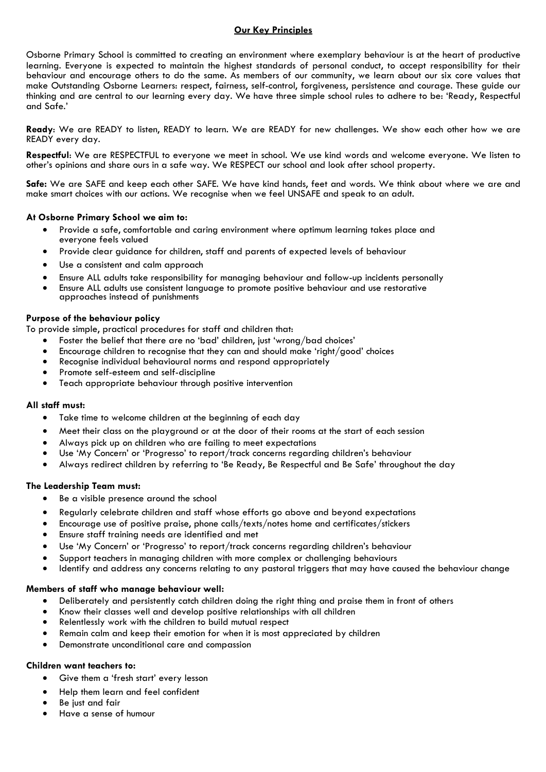# **Our Key Principles**

Osborne Primary School is committed to creating an environment where exemplary behaviour is at the heart of productive learning. Everyone is expected to maintain the highest standards of personal conduct, to accept responsibility for their behaviour and encourage others to do the same. As members of our community, we learn about our six core values that make Outstanding Osborne Learners: respect, fairness, self-control, forgiveness, persistence and courage. These guide our thinking and are central to our learning every day. We have three simple school rules to adhere to be: 'Ready, Respectful and Safe.'

**Ready**: We are READY to listen, READY to learn. We are READY for new challenges. We show each other how we are READY every day.

**Respectful**: We are RESPECTFUL to everyone we meet in school. We use kind words and welcome everyone. We listen to other's opinions and share ours in a safe way. We RESPECT our school and look after school property.

**Safe:** We are SAFE and keep each other SAFE. We have kind hands, feet and words. We think about where we are and make smart choices with our actions. We recognise when we feel UNSAFE and speak to an adult.

### **At Osborne Primary School we aim to:**

- Provide a safe, comfortable and caring environment where optimum learning takes place and everyone feels valued
- Provide clear guidance for children, staff and parents of expected levels of behaviour
- Use a consistent and calm approach
- Ensure ALL adults take responsibility for managing behaviour and follow-up incidents personally
- Ensure ALL adults use consistent language to promote positive behaviour and use restorative approaches instead of punishments

#### **Purpose of the behaviour policy**

To provide simple, practical procedures for staff and children that:

- Foster the belief that there are no 'bad' children, just 'wrong/bad choices'
- Encourage children to recognise that they can and should make 'right/good' choices
- Recognise individual behavioural norms and respond appropriately
- Promote self-esteem and self-discipline
- Teach appropriate behaviour through positive intervention

#### **All staff must:**

- Take time to welcome children at the beginning of each day
- Meet their class on the playground or at the door of their rooms at the start of each session
- Always pick up on children who are failing to meet expectations
- Use 'My Concern' or 'Progresso' to report/track concerns regarding children's behaviour
- Always redirect children by referring to 'Be Ready, Be Respectful and Be Safe' throughout the day

# **The Leadership Team must:**

- Be a visible presence around the school
- Regularly celebrate children and staff whose efforts go above and beyond expectations
- Encourage use of positive praise, phone calls/texts/notes home and certificates/stickers
- Ensure staff training needs are identified and met
- Use 'My Concern' or 'Progresso' to report/track concerns regarding children's behaviour
- Support teachers in managing children with more complex or challenging behaviours
- Identify and address any concerns relating to any pastoral triggers that may have caused the behaviour change

#### **Members of staff who manage behaviour well:**

- Deliberately and persistently catch children doing the right thing and praise them in front of others
- Know their classes well and develop positive relationships with all children
- Relentlessly work with the children to build mutual respect
- Remain calm and keep their emotion for when it is most appreciated by children
- Demonstrate unconditional care and compassion

# **Children want teachers to:**

- Give them a 'fresh start' every lesson
- Help them learn and feel confident
- Be just and fair
- Have a sense of humour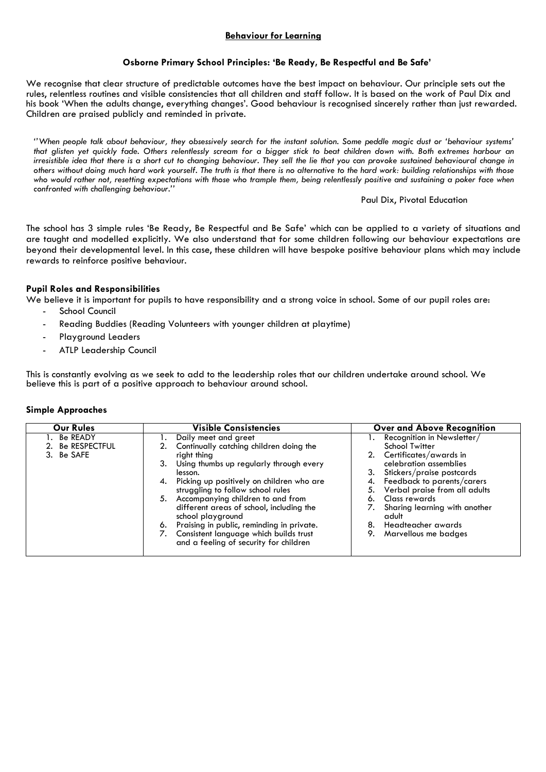# **Behaviour for Learning**

## **Osborne Primary School Principles: 'Be Ready, Be Respectful and Be Safe'**

We recognise that clear structure of predictable outcomes have the best impact on behaviour. Our principle sets out the rules, relentless routines and visible consistencies that all children and staff follow. It is based on the work of Paul Dix and his book 'When the adults change, everything changes'. Good behaviour is recognised sincerely rather than just rewarded. Children are praised publicly and reminded in private.

*''When people talk about behaviour, they obsessively search for the instant solution. Some peddle magic dust or 'behaviour systems' that glisten yet quickly fade. Others relentlessly scream for a bigger stick to beat children down with. Both extremes harbour an irresistible idea that there is a short cut to changing behaviour. They sell the lie that you can provoke sustained behavioural change in others without doing much hard work yourself. The truth is that there is no alternative to the hard work: building relationships with those who would rather not, resetting expectations with those who trample them, being relentlessly positive and sustaining a poker face when confronted with challenging behaviour.''*

#### Paul Dix, Pivotal Education

The school has 3 simple rules 'Be Ready, Be Respectful and Be Safe' which can be applied to a variety of situations and are taught and modelled explicitly. We also understand that for some children following our behaviour expectations are beyond their developmental level. In this case, these children will have bespoke positive behaviour plans which may include rewards to reinforce positive behaviour.

### **Pupil Roles and Responsibilities**

We believe it is important for pupils to have responsibility and a strong voice in school. Some of our pupil roles are:

- School Council
- Reading Buddies (Reading Volunteers with younger children at playtime)
- Playground Leaders
- ATLP Leadership Council

This is constantly evolving as we seek to add to the leadership roles that our children undertake around school. We believe this is part of a positive approach to behaviour around school.

#### **Simple Approaches**

| <b>Our Rules</b>                              | <b>Visible Consistencies</b>                                                                                                                                                                                                                                                                                                                                                                                                                                                       | <b>Over and Above Recognition</b>                                                                                                                                                                                                                                                                                                      |  |  |
|-----------------------------------------------|------------------------------------------------------------------------------------------------------------------------------------------------------------------------------------------------------------------------------------------------------------------------------------------------------------------------------------------------------------------------------------------------------------------------------------------------------------------------------------|----------------------------------------------------------------------------------------------------------------------------------------------------------------------------------------------------------------------------------------------------------------------------------------------------------------------------------------|--|--|
| 1. Be READY<br>2. Be RESPECTFUL<br>3. Be SAFE | Daily meet and greet<br>Continually catching children doing the<br>right thing<br>Using thumbs up regularly through every<br>3.<br>lesson.<br>Picking up positively on children who are<br>4.<br>struggling to follow school rules<br>5. Accompanying children to and from<br>different areas of school, including the<br>school playground<br>Praising in public, reminding in private.<br>6.<br>Consistent language which builds trust<br>and a feeling of security for children | Recognition in Newsletter/<br>Ι.<br>School Twitter<br>2. Certificates/awards in<br>celebration assemblies<br>Stickers/praise postcards<br>4. Feedback to parents/carers<br>5. Verbal praise from all adults<br>Class rewards<br>7.<br>Sharing learning with another<br>adult<br>Headteacher awards<br>8.<br>9.<br>Marvellous me badges |  |  |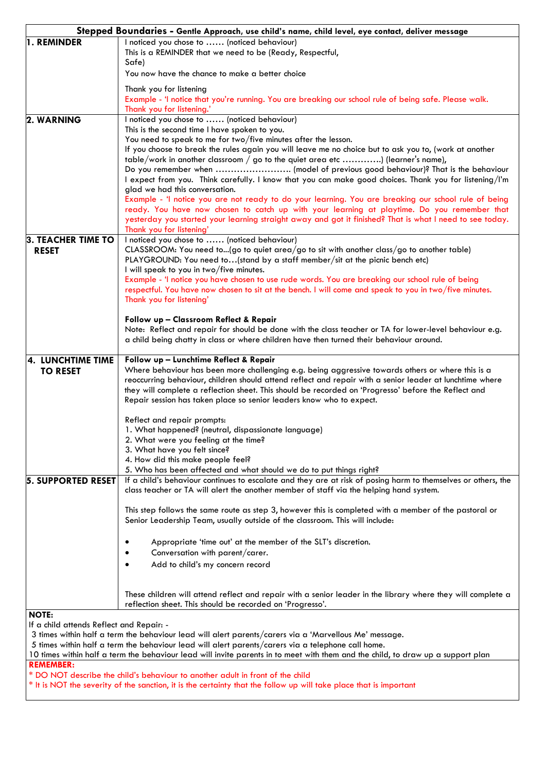|                                          | Stepped Boundaries - Gentle Approach, use child's name, child level, eye contact, deliver message                                                                            |
|------------------------------------------|------------------------------------------------------------------------------------------------------------------------------------------------------------------------------|
| 1. REMINDER                              | I noticed you chose to  (noticed behaviour)                                                                                                                                  |
|                                          | This is a REMINDER that we need to be (Ready, Respectful,                                                                                                                    |
|                                          | Safe)                                                                                                                                                                        |
|                                          | You now have the chance to make a better choice                                                                                                                              |
|                                          | Thank you for listening                                                                                                                                                      |
|                                          | Example - 'I notice that you're running. You are breaking our school rule of being safe. Please walk.                                                                        |
|                                          | Thank you for listening.'                                                                                                                                                    |
| 2. WARNING                               | I noticed you chose to  (noticed behaviour)                                                                                                                                  |
|                                          | This is the second time I have spoken to you.                                                                                                                                |
|                                          | You need to speak to me for two/five minutes after the lesson.                                                                                                               |
|                                          | If you choose to break the rules again you will leave me no choice but to ask you to, (work at another                                                                       |
|                                          | table/work in another classroom / go to the quiet area etc ) (learner's name),                                                                                               |
|                                          | I expect from you. Think carefully. I know that you can make good choices. Thank you for listening/I'm                                                                       |
|                                          | glad we had this conversation.                                                                                                                                               |
|                                          | Example - 'I notice you are not ready to do your learning. You are breaking our school rule of being                                                                         |
|                                          | ready. You have now chosen to catch up with your learning at playtime. Do you remember that                                                                                  |
|                                          | yesterday you started your learning straight away and got it finished? That is what I need to see today.                                                                     |
|                                          | Thank you for listening'                                                                                                                                                     |
| 3. TEACHER TIME TO                       | I noticed you chose to  (noticed behaviour)                                                                                                                                  |
| <b>RESET</b>                             | $CLASSROOM: You need to (go to quiet area/go to sit with another class/go to another table)$<br>PLAYGROUND: You need to(stand by a staff member/sit at the picnic bench etc) |
|                                          | I will speak to you in two/five minutes.                                                                                                                                     |
|                                          | Example - 'I notice you have chosen to use rude words. You are breaking our school rule of being                                                                             |
|                                          | respectful. You have now chosen to sit at the bench. I will come and speak to you in two/five minutes.                                                                       |
|                                          | Thank you for listening'                                                                                                                                                     |
|                                          |                                                                                                                                                                              |
|                                          | Follow up - Classroom Reflect & Repair                                                                                                                                       |
|                                          | Note: Reflect and repair for should be done with the class teacher or TA for lower-level behaviour e.g.                                                                      |
|                                          | a child being chatty in class or where children have then turned their behaviour around.                                                                                     |
| 4. LUNCHTIME TIME                        | Follow up - Lunchtime Reflect & Repair                                                                                                                                       |
| <b>TO RESET</b>                          | Where behaviour has been more challenging e.g. being aggressive towards others or where this is a                                                                            |
|                                          | reoccurring behaviour, children should attend reflect and repair with a senior leader at lunchtime where                                                                     |
|                                          | they will complete a reflection sheet. This should be recorded on 'Progresso' before the Reflect and                                                                         |
|                                          | Repair session has taken place so senior leaders know who to expect.                                                                                                         |
|                                          |                                                                                                                                                                              |
|                                          | Reflect and repair prompts:<br>1. What happened? (neutral, dispassionate language)                                                                                           |
|                                          | 2. What were you teeling at the time?                                                                                                                                        |
|                                          | 3. What have you felt since?                                                                                                                                                 |
|                                          | 4. How did this make people feel?                                                                                                                                            |
|                                          | 5. Who has been affected and what should we do to put things right?                                                                                                          |
| <b>5. SUPPORTED RESET</b>                | If a child's behaviour continues to escalate and they are at risk of posing harm to themselves or others, the                                                                |
|                                          | class teacher or TA will alert the another member of staff via the helping hand system.                                                                                      |
|                                          | This step follows the same route as step 3, however this is completed with a member of the pastoral or                                                                       |
|                                          | Senior Leadership Team, usually outside of the classroom. This will include:                                                                                                 |
|                                          |                                                                                                                                                                              |
|                                          | Appropriate 'time out' at the member of the SLT's discretion.                                                                                                                |
|                                          | Conversation with parent/carer.                                                                                                                                              |
|                                          | Add to child's my concern record<br>$\bullet$                                                                                                                                |
|                                          |                                                                                                                                                                              |
|                                          |                                                                                                                                                                              |
|                                          | These children will attend reflect and repair with a senior leader in the library where they will complete a                                                                 |
|                                          | reflection sheet. This should be recorded on 'Progresso'.                                                                                                                    |
| <b>NOTE:</b>                             |                                                                                                                                                                              |
| If a child attends Reflect and Repair: - | 3 times within half a term the behaviour lead will alert parents/carers via a 'Marvellous Me' message.                                                                       |
|                                          | 5 times within half a term the behaviour lead will alert parents/carers via a telephone call home.                                                                           |
|                                          | 10 times within half a term the behaviour lead will invite parents in to meet with them and the child, to draw up a support plan                                             |
| <b>REMEMBER:</b>                         |                                                                                                                                                                              |

\* DO NOT describe the child's behaviour to another adult in front of the child

\* It is NOT the severity of the sanction, it is the certainty that the follow up will take place that is important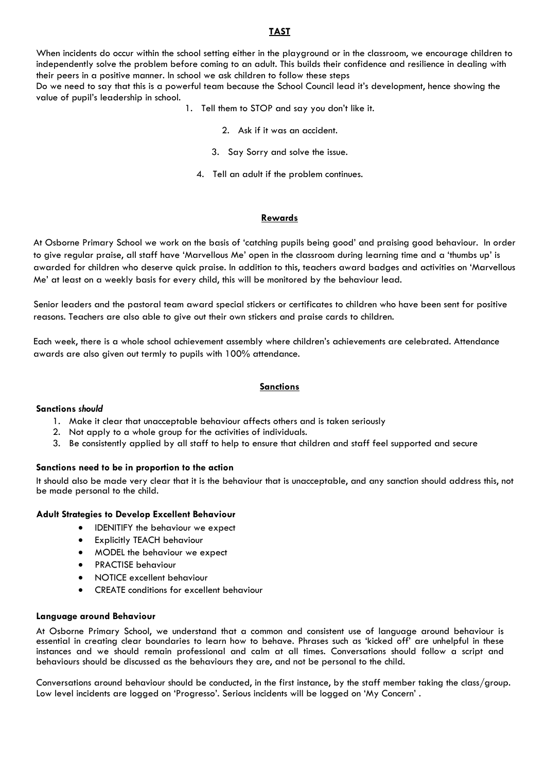#### **TAST**

When incidents do occur within the school setting either in the playground or in the classroom, we encourage children to independently solve the problem before coming to an adult. This builds their confidence and resilience in dealing with their peers in a positive manner. In school we ask children to follow these steps

Do we need to say that this is a powerful team because the School Council lead it's development, hence showing the value of pupil's leadership in school.

- 1. Tell them to STOP and say you don't like it.
	- 2. Ask if it was an accident.
	- 3. Say Sorry and solve the issue.
	- 4. Tell an adult if the problem continues.

#### **Rewards**

At Osborne Primary School we work on the basis of 'catching pupils being good' and praising good behaviour. In order to give regular praise, all staff have 'Marvellous Me' open in the classroom during learning time and a 'thumbs up' is awarded for children who deserve quick praise. In addition to this, teachers award badges and activities on 'Marvellous Me' at least on a weekly basis for every child, this will be monitored by the behaviour lead.

Senior leaders and the pastoral team award special stickers or certificates to children who have been sent for positive reasons. Teachers are also able to give out their own stickers and praise cards to children.

Each week, there is a whole school achievement assembly where children's achievements are celebrated. Attendance awards are also given out termly to pupils with 100% attendance.

#### **Sanctions**

#### **Sanctions** *should*

- 1. Make it clear that unacceptable behaviour affects others and is taken seriously
- 2. Not apply to a whole group for the activities of individuals.
- 3. Be consistently applied by all staff to help to ensure that children and staff feel supported and secure

#### **Sanctions need to be in proportion to the action**

It should also be made very clear that it is the behaviour that is unacceptable, and any sanction should address this, not be made personal to the child.

#### **Adult Strategies to Develop Excellent Behaviour**

- IDENITIFY the behaviour we expect
- **Explicitly TEACH behaviour**
- MODEL the behaviour we expect
- PRACTISE behaviour
- NOTICE excellent behaviour
- CREATE conditions for excellent behaviour

#### **Language around Behaviour**

At Osborne Primary School, we understand that a common and consistent use of language around behaviour is essential in creating clear boundaries to learn how to behave. Phrases such as 'kicked off' are unhelpful in these instances and we should remain professional and calm at all times. Conversations should follow a script and behaviours should be discussed as the behaviours they are, and not be personal to the child.

Conversations around behaviour should be conducted, in the first instance, by the staff member taking the class/group. Low level incidents are logged on 'Progresso'. Serious incidents will be logged on 'My Concern' .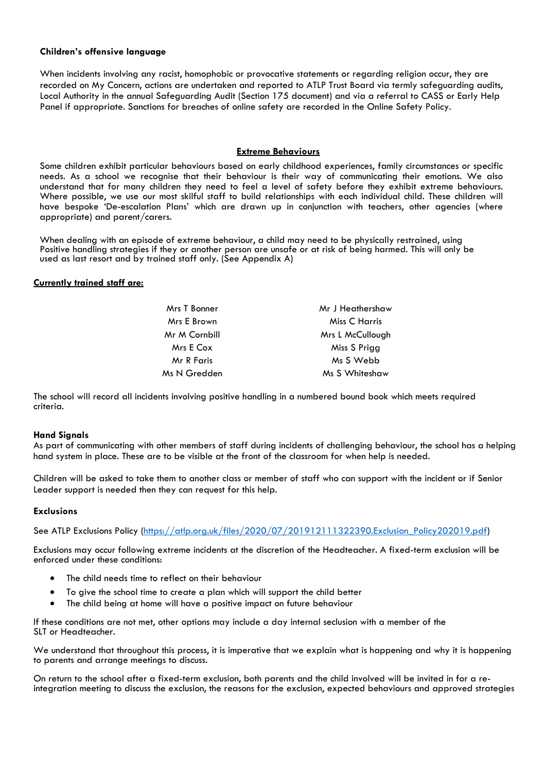#### **Children's offensive language**

When incidents involving any racist, homophobic or provocative statements or regarding religion occur, they are recorded on My Concern, actions are undertaken and reported to ATLP Trust Board via termly safeguarding audits, Local Authority in the annual Safeguarding Audit (Section 175 document) and via a referral to CASS or Early Help Panel if appropriate. Sanctions for breaches of online safety are recorded in the Online Safety Policy.

### **Extreme Behaviours**

Some children exhibit particular behaviours based on early childhood experiences, family circumstances or specific needs. As a school we recognise that their behaviour is their way of communicating their emotions. We also understand that for many children they need to feel a level of safety before they exhibit extreme behaviours. Where possible, we use our most skilful staff to build relationships with each individual child. These children will have bespoke 'De-escalation Plans' which are drawn up in conjunction with teachers, other agencies (where appropriate) and parent/carers.

When dealing with an episode of extreme behaviour, a child may need to be physically restrained, using Positive handling strategies if they or another person are unsafe or at risk of being harmed. This will only be used as last resort and by trained staff only. (See Appendix A)

#### **Currently trained staff are:**

| Mrs T Bonner  | Mr J Heathershaw |  |
|---------------|------------------|--|
| Mrs E Brown   | Miss C Harris    |  |
| Mr M Cornbill | Mrs L McCullough |  |
| Mrs E Cox     | Miss S Prigg     |  |
| Mr R Faris    | Ms S Webb        |  |
| Ms N Gredden  | Ms S Whiteshaw   |  |
|               |                  |  |

The school will record all incidents involving positive handling in a numbered bound book which meets required criteria.

#### **Hand Signals**

As part of communicating with other members of staff during incidents of challenging behaviour, the school has a helping hand system in place. These are to be visible at the front of the classroom for when help is needed.

Children will be asked to take them to another class or member of staff who can support with the incident or if Senior Leader support is needed then they can request for this help.

#### **Exclusions**

See ATLP Exclusions Policy (https://atlp.org.uk/files/2020/07/201912111322390.Exclusion\_Policy202019.pdf)

Exclusions may occur following extreme incidents at the discretion of the Headteacher. A fixed-term exclusion will be enforced under these conditions:

- The child needs time to reflect on their behaviour
- To give the school time to create a plan which will support the child better
- The child being at home will have a positive impact on future behaviour

If these conditions are not met, other options may include a day internal seclusion with a member of the SLT or Headteacher.

We understand that throughout this process, it is imperative that we explain what is happening and why it is happening to parents and arrange meetings to discuss.

On return to the school after a fixed-term exclusion, both parents and the child involved will be invited in for a re-<br>integration meeting to discuss the exclusion, the reasons for the exclusion, expected behaviours and ap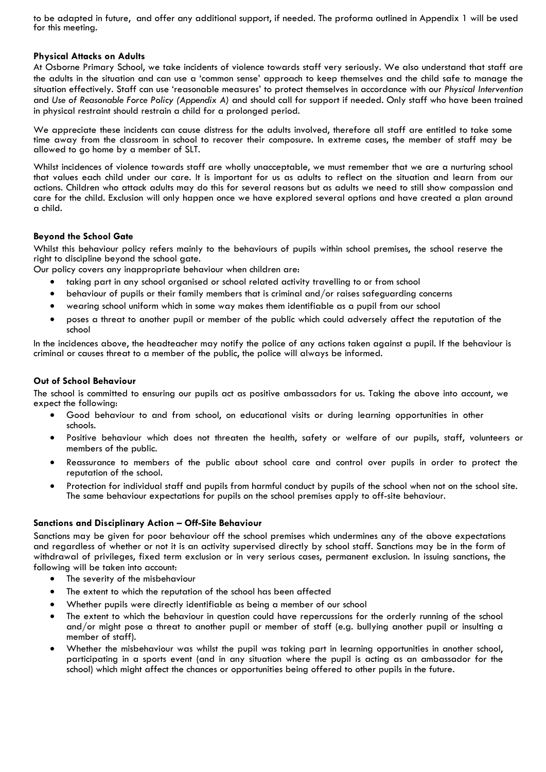to be adapted in future, and offer any additional support, if needed. The proforma outlined in Appendix 1 will be used for this meeting.

#### **Physical Attacks on Adults**

At Osborne Primary School, we take incidents of violence towards staff very seriously. We also understand that staff are the adults in the situation and can use a 'common sense' approach to keep themselves and the child safe to manage the situation effectively. Staff can use 'reasonable measures' to protect themselves in accordance with our *Physical Intervention*  and *Use of Reasonable Force Policy (Appendix A)* and should call for support if needed. Only staff who have been trained in physical restraint should restrain a child for a prolonged period.

We appreciate these incidents can cause distress for the adults involved, therefore all staff are entitled to take some time away from the classroom in school to recover their composure. In extreme cases, the member of staff may be allowed to go home by a member of SLT.

Whilst incidences of violence towards staff are wholly unacceptable, we must remember that we are a nurturing school that values each child under our care. It is important for us as adults to reflect on the situation and learn from our actions. Children who attack adults may do this for several reasons but as adults we need to still show compassion and care for the child. Exclusion will only happen once we have explored several options and have created a plan around a child.

### **Beyond the School Gate**

Whilst this behaviour policy refers mainly to the behaviours of pupils within school premises, the school reserve the right to discipline beyond the school gate.

Our policy covers any inappropriate behaviour when children are:

- taking part in any school organised or school related activity travelling to or from school
- behaviour of pupils or their family members that is criminal and/or raises safeguarding concerns
- wearing school uniform which in some way makes them identifiable as a pupil from our school
- poses a threat to another pupil or member of the public which could adversely affect the reputation of the school

In the incidences above, the headteacher may notify the police of any actions taken against a pupil. If the behaviour is criminal or causes threat to a member of the public, the police will always be informed.

#### **Out of School Behaviour**

The school is committed to ensuring our pupils act as positive ambassadors for us. Taking the above into account, we expect the following:

- Good behaviour to and from school, on educational visits or during learning opportunities in other schools.
- Positive behaviour which does not threaten the health, safety or welfare of our pupils, staff, volunteers or members of the public.
- Reassurance to members of the public about school care and control over pupils in order to protect the reputation of the school.
- Protection for individual staff and pupils from harmful conduct by pupils of the school when not on the school site. The same behaviour expectations for pupils on the school premises apply to off-site behaviour.

#### **Sanctions and Disciplinary Action – Off-Site Behaviour**

Sanctions may be given for poor behaviour off the school premises which undermines any of the above expectations and regardless of whether or not it is an activity supervised directly by school staff. Sanctions may be in the form of withdrawal of privileges, fixed term exclusion or in very serious cases, permanent exclusion. In issuing sanctions, the following will be taken into account:

- The severity of the misbehaviour
- The extent to which the reputation of the school has been affected
- Whether pupils were directly identifiable as being a member of our school
- The extent to which the behaviour in question could have repercussions for the orderly running of the school and/or might pose a threat to another pupil or member of staff (e.g. bullying another pupil or insulting a member of staff).
- Whether the misbehaviour was whilst the pupil was taking part in learning opportunities in another school, participating in a sports event (and in any situation where the pupil is acting as an ambassador for the school) which might affect the chances or opportunities being offered to other pupils in the future.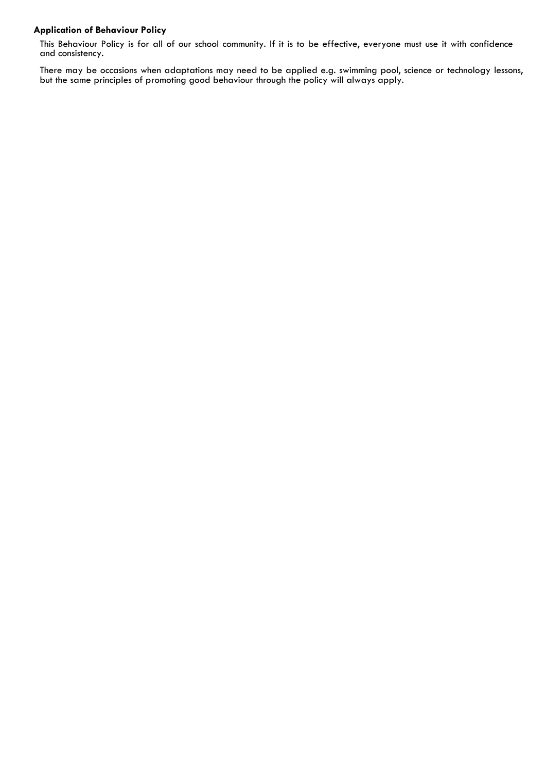# **Application of Behaviour Policy**

This Behaviour Policy is for all of our school community. If it is to be effective, everyone must use it with confidence and consistency.

There may be occasions when adaptations may need to be applied e.g. swimming pool, science or technology lessons, but the same principles of promoting good behaviour through the policy will always apply.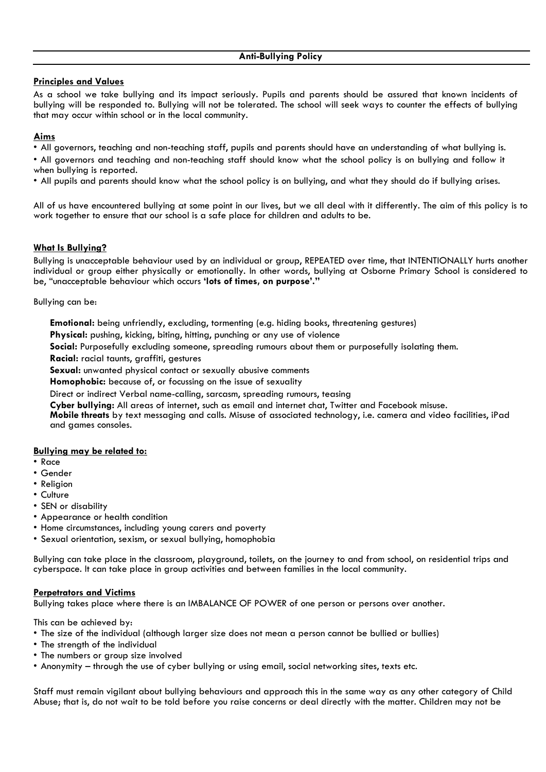# **Principles and Values**

As a school we take bullying and its impact seriously. Pupils and parents should be assured that known incidents of bullying will be responded to. Bullying will not be tolerated. The school will seek ways to counter the effects of bullying that may occur within school or in the local community.

# **Aims**

• All governors, teaching and non-teaching staff, pupils and parents should have an understanding of what bullying is.

• All governors and teaching and non-teaching staff should know what the school policy is on bullying and follow it when bullying is reported.

• All pupils and parents should know what the school policy is on bullying, and what they should do if bullying arises.

All of us have encountered bullying at some point in our lives, but we all deal with it differently. The aim of this policy is to work together to ensure that our school is a safe place for children and adults to be.

# **What Is Bullying?**

Bullying is unacceptable behaviour used by an individual or group, REPEATED over time, that INTENTIONALLY hurts another individual or group either physically or emotionally. In other words, bullying at Osborne Primary School is considered to be, "unacceptable behaviour which occurs **'lots of times, on purpose'."**

Bullying can be:

**Emotional:** being unfriendly, excluding, tormenting (e.g. hiding books, threatening gestures)

**Physical:** pushing, kicking, biting, hitting, punching or any use of violence

**Social:** Purposefully excluding someone, spreading rumours about them or purposefully isolating them.

**Racial:** racial taunts, graffiti, gestures

**Sexual:** unwanted physical contact or sexually abusive comments

**Homophobic:** because of, or focussing on the issue of sexuality

Direct or indirect Verbal name-calling, sarcasm, spreading rumours, teasing

**Cyber bullying:** All areas of internet, such as email and internet chat, Twitter and Facebook misuse.

**Mobile threats** by text messaging and calls. Misuse of associated technology, i.e. camera and video facilities, iPad and games consoles.

# **Bullying may be related to:**

- Race
- Gender
- Religion
- Culture
- SEN or disability
- Appearance or health condition
- Home circumstances, including young carers and poverty
- Sexual orientation, sexism, or sexual bullying, homophobia

Bullying can take place in the classroom, playground, toilets, on the journey to and from school, on residential trips and cyberspace. It can take place in group activities and between families in the local community.

# **Perpetrators and Victims**

Bullying takes place where there is an IMBALANCE OF POWER of one person or persons over another.

This can be achieved by:

- The size of the individual (although larger size does not mean a person cannot be bullied or bullies)
- The strength of the individual
- The numbers or group size involved
- Anonymity through the use of cyber bullying or using email, social networking sites, texts etc.

Staff must remain vigilant about bullying behaviours and approach this in the same way as any other category of Child Abuse; that is, do not wait to be told before you raise concerns or deal directly with the matter. Children may not be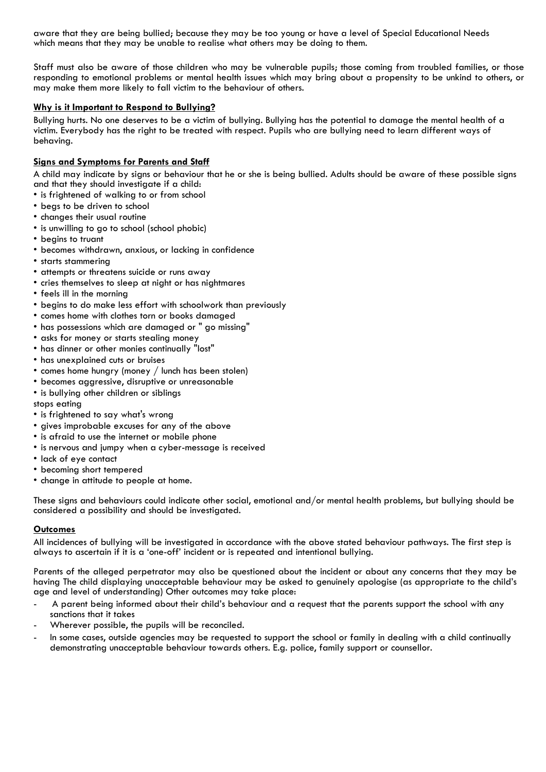aware that they are being bullied; because they may be too young or have a level of Special Educational Needs which means that they may be unable to realise what others may be doing to them.

Staff must also be aware of those children who may be vulnerable pupils; those coming from troubled families, or those responding to emotional problems or mental health issues which may bring about a propensity to be unkind to others, or may make them more likely to fall victim to the behaviour of others.

### **Why is it Important to Respond to Bullying?**

Bullying hurts. No one deserves to be a victim of bullying. Bullying has the potential to damage the mental health of a victim. Everybody has the right to be treated with respect. Pupils who are bullying need to learn different ways of behaving.

## **Signs and Symptoms for Parents and Staff**

A child may indicate by signs or behaviour that he or she is being bullied. Adults should be aware of these possible signs and that they should investigate if a child:

- is frightened of walking to or from school
- begs to be driven to school
- changes their usual routine
- is unwilling to go to school (school phobic)
- begins to truant
- becomes withdrawn, anxious, or lacking in confidence
- starts stammering
- attempts or threatens suicide or runs away
- cries themselves to sleep at night or has nightmares
- feels ill in the morning
- begins to do make less effort with schoolwork than previously
- comes home with clothes torn or books damaged
- has possessions which are damaged or " go missing"
- asks for money or starts stealing money
- has dinner or other monies continually "lost"
- has unexplained cuts or bruises
- comes home hungry (money / lunch has been stolen)
- becomes aggressive, disruptive or unreasonable
- is bullying other children or siblings

stops eating

- is frightened to say what's wrong
- gives improbable excuses for any of the above
- is afraid to use the internet or mobile phone
- is nervous and jumpy when a cyber-message is received
- lack of eye contact
- becoming short tempered
- change in attitude to people at home.

These signs and behaviours could indicate other social, emotional and/or mental health problems, but bullying should be considered a possibility and should be investigated.

#### **Outcomes**

All incidences of bullying will be investigated in accordance with the above stated behaviour pathways. The first step is always to ascertain if it is a 'one-off' incident or is repeated and intentional bullying.

Parents of the alleged perpetrator may also be questioned about the incident or about any concerns that they may be having The child displaying unacceptable behaviour may be asked to genuinely apologise (as appropriate to the child's age and level of understanding) Other outcomes may take place:

- A parent being informed about their child's behaviour and a request that the parents support the school with any sanctions that it takes
- Wherever possible, the pupils will be reconciled.
- In some cases, outside agencies may be requested to support the school or family in dealing with a child continually demonstrating unacceptable behaviour towards others. E.g. police, family support or counsellor.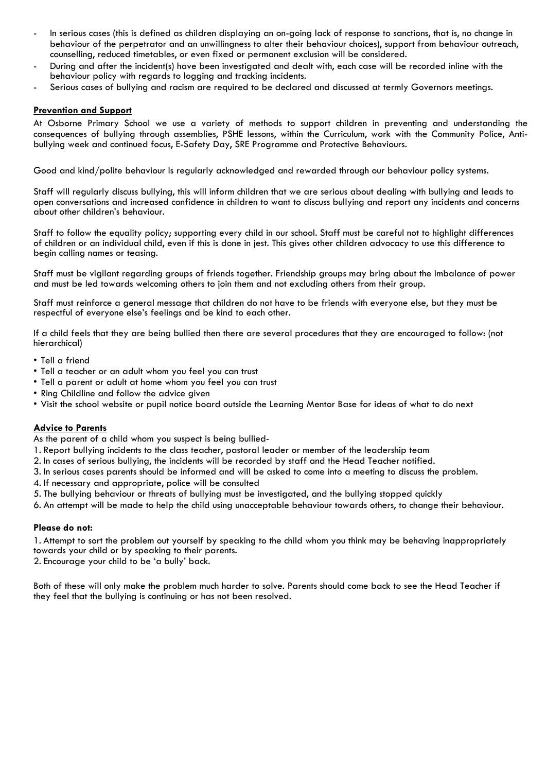- In serious cases (this is defined as children displaying an on-going lack of response to sanctions, that is, no change in behaviour of the perpetrator and an unwillingness to alter their behaviour choices), support from behaviour outreach, counselling, reduced timetables, or even fixed or permanent exclusion will be considered.
- During and after the incident(s) have been investigated and dealt with, each case will be recorded inline with the behaviour policy with regards to logging and tracking incidents.
- Serious cases of bullying and racism are required to be declared and discussed at termly Governors meetings.

# **Prevention and Support**

At Osborne Primary School we use a variety of methods to support children in preventing and understanding the consequences of bullying through assemblies, PSHE lessons, within the Curriculum, work with the Community Police, Antibullying week and continued focus, E-Safety Day, SRE Programme and Protective Behaviours.

Good and kind/polite behaviour is regularly acknowledged and rewarded through our behaviour policy systems.

Staff will regularly discuss bullying, this will inform children that we are serious about dealing with bullying and leads to open conversations and increased confidence in children to want to discuss bullying and report any incidents and concerns about other children's behaviour.

Staff to follow the equality policy; supporting every child in our school. Staff must be careful not to highlight differences of children or an individual child, even if this is done in jest. This gives other children advocacy to use this difference to begin calling names or teasing.

Staff must be vigilant regarding groups of friends together. Friendship groups may bring about the imbalance of power and must be led towards welcoming others to join them and not excluding others from their group.

Staff must reinforce a general message that children do not have to be friends with everyone else, but they must be respectful of everyone else's feelings and be kind to each other.

If a child feels that they are being bullied then there are several procedures that they are encouraged to follow: (not hierarchical)

- Tell a friend
- Tell a teacher or an adult whom you feel you can trust
- Tell a parent or adult at home whom you feel you can trust
- Ring Childline and follow the advice given
- Visit the school website or pupil notice board outside the Learning Mentor Base for ideas of what to do next

# **Advice to Parents**

As the parent of a child whom you suspect is being bullied-

- 1. Report bullying incidents to the class teacher, pastoral leader or member of the leadership team
- 2. In cases of serious bullying, the incidents will be recorded by staff and the Head Teacher notified.
- 3. In serious cases parents should be informed and will be asked to come into a meeting to discuss the problem.
- 4. If necessary and appropriate, police will be consulted
- 5. The bullying behaviour or threats of bullying must be investigated, and the bullying stopped quickly
- 6. An attempt will be made to help the child using unacceptable behaviour towards others, to change their behaviour.

#### **Please do not:**

1. Attempt to sort the problem out yourself by speaking to the child whom you think may be behaving inappropriately towards your child or by speaking to their parents.

2. Encourage your child to be 'a bully' back.

Both of these will only make the problem much harder to solve. Parents should come back to see the Head Teacher if they feel that the bullying is continuing or has not been resolved.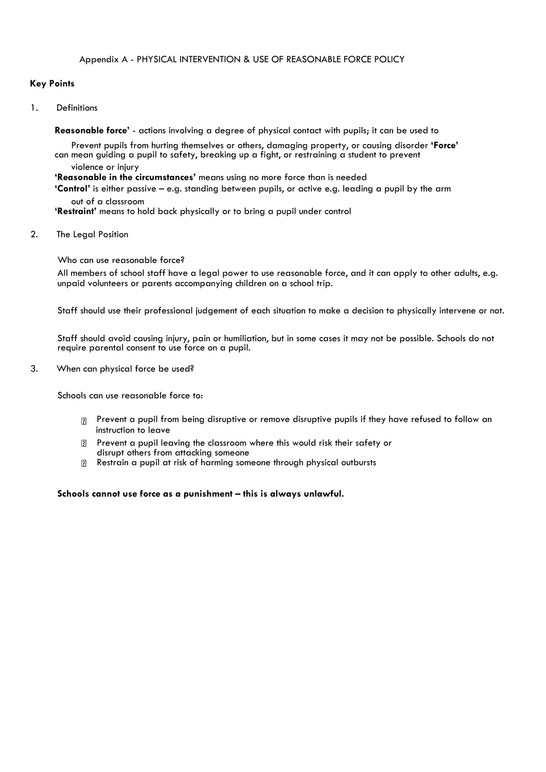# **Key Points**

1. Definitions

**Reasonable force'** - actions involving a degree of physical contact with pupils; it can be used to

Prevent pupils from hurting themselves or others, damaging property, or causing disorder **'Force'**  can mean guiding a pupil to safety, breaking up a fight, or restraining a student to prevent violence or injury

**'Reasonable in the circumstances'** means using no more force than is needed

**'Control'** is either passive – e.g. standing between pupils, or active e.g. leading a pupil by the arm out of a classroom

**'Restraint'** means to hold back physically or to bring a pupil under control

2. The Leaal Position

Who can use reasonable force?

All members of school staff have a legal power to use reasonable force, and it can apply to other adults, e.g. unpaid volunteers or parents accompanying children on a school trip.

Staff should use their professional judgement of each situation to make a decision to physically intervene or not.

Staff should avoid causing injury, pain or humiliation, but in some cases it may not be possible. Schools do not require parental consent to use force on a pupil.

3. When can physical force be used?

Schools can use reasonable force to:

- **Prevent a pupil from being disruptive or remove disruptive pupils if they have refused to follow an** instruction to leave
- Prevent a pupil leaving the classroom where this would risk their safety or disrupt others from attacking someone
- Restrain a pupil at risk of harming someone through physical outbursts  $\overline{?}$

**Schools cannot use force as a punishment – this is always unlawful.**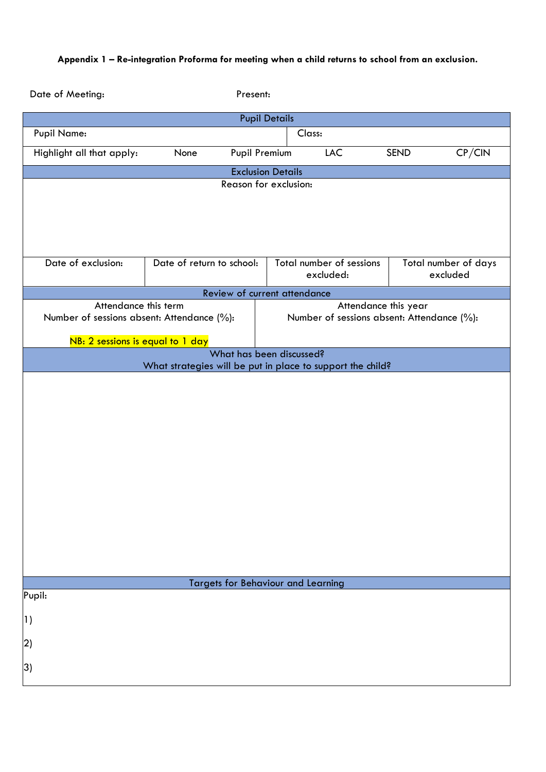# **Appendix 1 – Re-integration Proforma for meeting when a child returns to school from an exclusion.**

| Date of Meeting:                           | Present:                                                   |                              |                                       |                                            |                      |                                  |  |
|--------------------------------------------|------------------------------------------------------------|------------------------------|---------------------------------------|--------------------------------------------|----------------------|----------------------------------|--|
| <b>Pupil Details</b>                       |                                                            |                              |                                       |                                            |                      |                                  |  |
| <b>Pupil Name:</b>                         | Class:                                                     |                              |                                       |                                            |                      |                                  |  |
| Highlight all that apply:                  | None                                                       | <b>Pupil Premium</b>         |                                       | <b>LAC</b>                                 | <b>SEND</b>          | CP/CIN                           |  |
|                                            |                                                            |                              | <b>Exclusion Details</b>              |                                            |                      |                                  |  |
|                                            | Reason for exclusion:                                      |                              |                                       |                                            |                      |                                  |  |
|                                            |                                                            |                              |                                       |                                            |                      |                                  |  |
|                                            |                                                            |                              |                                       |                                            |                      |                                  |  |
|                                            |                                                            |                              |                                       |                                            |                      |                                  |  |
| Date of exclusion:                         | Date of return to school:                                  |                              |                                       |                                            |                      |                                  |  |
|                                            |                                                            |                              | Total number of sessions<br>excluded: |                                            |                      | Total number of days<br>excluded |  |
|                                            |                                                            | Review of current attendance |                                       |                                            |                      |                                  |  |
| Attendance this term                       |                                                            |                              |                                       |                                            | Attendance this year |                                  |  |
| Number of sessions absent: Attendance (%): |                                                            |                              |                                       | Number of sessions absent: Attendance (%): |                      |                                  |  |
| NB: 2 sessions is equal to 1 day           |                                                            |                              |                                       |                                            |                      |                                  |  |
|                                            |                                                            | What has been discussed?     |                                       |                                            |                      |                                  |  |
|                                            | What strategies will be put in place to support the child? |                              |                                       |                                            |                      |                                  |  |
|                                            |                                                            |                              |                                       |                                            |                      |                                  |  |
|                                            |                                                            |                              |                                       |                                            |                      |                                  |  |
|                                            |                                                            |                              |                                       |                                            |                      |                                  |  |
|                                            |                                                            |                              |                                       |                                            |                      |                                  |  |
|                                            |                                                            |                              |                                       |                                            |                      |                                  |  |
|                                            |                                                            |                              |                                       |                                            |                      |                                  |  |
|                                            |                                                            |                              |                                       |                                            |                      |                                  |  |
|                                            |                                                            |                              |                                       |                                            |                      |                                  |  |
|                                            |                                                            |                              |                                       |                                            |                      |                                  |  |
|                                            |                                                            |                              |                                       |                                            |                      |                                  |  |
|                                            |                                                            |                              |                                       |                                            |                      |                                  |  |
|                                            |                                                            |                              |                                       |                                            |                      |                                  |  |
| <b>Targets for Behaviour and Learning</b>  |                                                            |                              |                                       |                                            |                      |                                  |  |
| Pupil:                                     |                                                            |                              |                                       |                                            |                      |                                  |  |
| 1)                                         |                                                            |                              |                                       |                                            |                      |                                  |  |
|                                            |                                                            |                              |                                       |                                            |                      |                                  |  |
| $\mathbf{2}$                               |                                                            |                              |                                       |                                            |                      |                                  |  |
| 3)                                         |                                                            |                              |                                       |                                            |                      |                                  |  |
|                                            |                                                            |                              |                                       |                                            |                      |                                  |  |